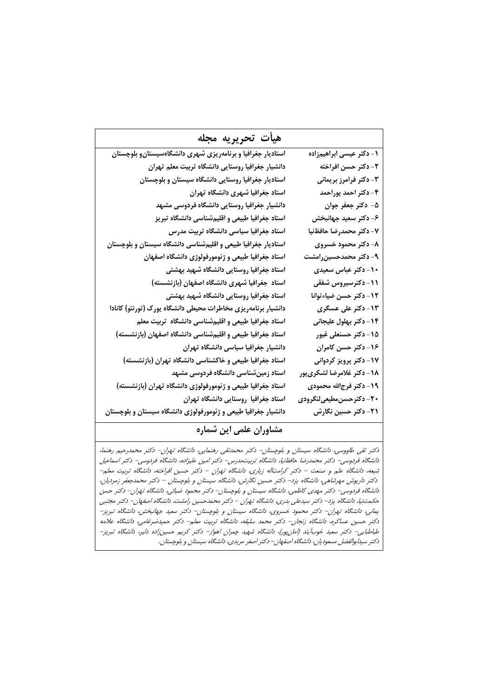| هيأت تحريريه مجله                                              |                            |
|----------------------------------------------------------------|----------------------------|
| استادیار جغرافیا و برنامهریزی شهری دانشگاهسیستان و بلوچستان    | ۱ - دکتر عیسی ابراهیمزاده  |
| دانشیار جغرافیا روستایی دانشگاه تربیت معلم تهران               | 2- دكتر حسن افراخته        |
| استادیار جغرافیا روستایی دانشگاه سیستان و بلوچستان             | ۳- دکتر فرامرز بریمانی     |
| استاد جغرافیا شهری دانشگاه تهران                               | ۴- دکتر احمد پوراحمد       |
| دانشیار جغرافیا روستایی دانشگاه فردوسی مشهد                    | ۵- دکتر جعفر جوان          |
| استاد جغرافیا طبیعی و اقلیمشناسی دانشگاه تبریز                 | ۶- دکتر سعید جهانبخش       |
| استاد جغرافیا سیاسی دانشگاه تربیت مدرس                         | ٧- دكتر محمدرضا حافظنيا    |
| استادیار جغرافیا طبیعی و اقلیمشناسی دانشگاه سیستان و بلوچستان  | ۸- دکتر محمود خسروی        |
| استاد جغرافیا طبیعی و ژئومورفولوژی دانشگاه اصفهان              | ۹- دکتر محمدحسینرامشت      |
| استاد جغرافیا روستایی دانشگاه شهید بهشتی                       | ۱۰- دکتر عباس سعیدی        |
| استاد جغرافیا شهری دانشگاه اصفهان (بازنشسته)                   | <b>۱۱- دکترسیروس شفقی</b>  |
| استاد جغرافیا روستایی دانشگاه شهید بهشتی                       | ۱۲- دکتر حسن ضیاءتوانا     |
| دانشیار برنامهریزی مخاطرات محیطی دانشگاه یورک (تورنتو) کانادا  | ۱۳- دکتر علی عسگری         |
| استاد جغرافیا طبیعی و اقلیمشناسی دانشگاه تربیت معلم            | ۱۴- دکتر بهلول علیجانی     |
| استاد جغرافیا طبیعی و اقلیمشناسی دانشگاه اصفهان (بازنشسته)     | 1۵- دکتر حسنعلی غیور       |
| دانشیار جغرافیا سیاسی دانشگاه تهران                            | ۱۶- دکتر حسن کامران        |
| استاد جغرافیا طبیعی و خاکشناسی دانشگاه تهران (بازنشسته)        | ۱۷- دکتر پرویز کردوانی     |
| استاد زمینشناسی دانشگاه فردوسی مشبهد                           | 18- دكتر غلامرضا لشكرىپور  |
| استاد جغرافیا طبیعی و ژئومورفولوژی دانشگاه تهران (بازنشسته)    | ۱۹- دکتر فرجالله محمودی    |
| استاد جغرافیا روستایی دانشگاه تهران                            | ۲۰- دکترحسن مطیعیلنگرودی   |
| دانشیار جغرافیا طبیعی و ژئومورفولوژی دانشگاه سیستان و بلوچستان | <b>٢١- دکتر حسین نگارش</b> |

## مشاوران علمی این شماره

دکتر تقی طاووسی، دانشگاه سیستان و بلوچستان– دکتر محمدتقی رهنمایی، دانشگاه تهران– دکتر محمدرحیم رهنما، دانشگاه فردوسی– دکتر محمدرضا حافظنیا، دانشگاه تربیتمدرس– دکتر امین علیزاده، دانشگاه فردوسی– دکتر اسماعیل شیعه، دانشگاه علم و صنعت – دکتر کرامتاله زیاری، دانشگاه تهران – دکتر حسین افراخته، دانشگاه تربیت معلم– دکتر داریوش مهرشاهی، دانشگاه یزد– دکتر حسین نگارش، دانشگاه سیستان و بلوچستان – دکتر محمدجغر زمردیان، دانشگاه فردوسی– دکتر مهدی کاظمی، دانشگاه سیستان و بلوچستان– دکتر محمود ضیائی، دانشگاه تهران– دکتر حسن حکمت:یا، دانشگاه یزد– دکتر سیدعلی بدری، دانشگاه تهران – دکتر محمدحسین رامشت، دانشگاه اصفهان– دکتر مجتبی یمانی، دانشگاه تهران- دکتر محمود خسروی، دانشگاه سیستان و بلوچستان– دکتر سعید جهانبخش، دانشگاه تبریز– دکتر حسین عساکره، دانشگاه زنجان– دکتر محمد سلیقه، دانشگاه تربیت معلم– دکتر حمیدضرغامی، دانشگاه علامه طباطبايي- دكتر سعيد خوبآيند (امان پور)، دانشگاه شهيد چمران اهواز- دكتر كريم حسين;اده دلير، دانشگاه تبريز-دکتر سیدابوالفضل مسعودیان، دانشگاه اصفهان– دکتر اصغر مریدی، دانشگاه سیستان و بلوچستان.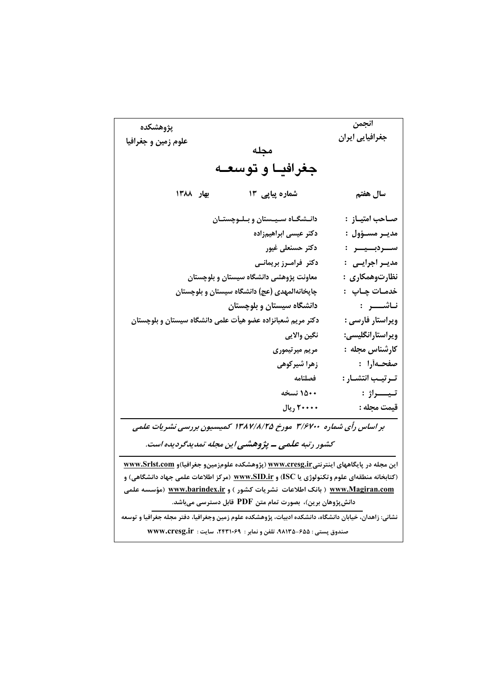| پژوهشکده                                                                                              |                                                                                                  | انجمن              |  |  |
|-------------------------------------------------------------------------------------------------------|--------------------------------------------------------------------------------------------------|--------------------|--|--|
| علوم زمین و جغرافیا                                                                                   |                                                                                                  | جغرافیایی ایران    |  |  |
|                                                                                                       | مجله                                                                                             |                    |  |  |
| جغرافيــا و توسعــه                                                                                   |                                                                                                  |                    |  |  |
| بهار ١٣٨٨                                                                                             | شماره پیاپی ۱۳                                                                                   | سال هفتم           |  |  |
|                                                                                                       | دانــشگــاه ســيــستان و بــلــوچستــان                                                          | صـاحب امتيـاز  :   |  |  |
|                                                                                                       | دكتر عيسى ابراهيمزاده                                                                            | مديــر مســؤول :   |  |  |
|                                                                                                       | دكتر حسنعلى غيور                                                                                 | ســـردېـــيــــر : |  |  |
|                                                                                                       | دکتر فرامـرز بریمانـی                                                                            | مديــر اجرايـــى۔: |  |  |
|                                                                                                       | معاونت پژوهشی دانشگاه سیستان و بلوچستان                                                          | نظارتوهمکاری :     |  |  |
|                                                                                                       | چاپخانهالمهدی (عج) دانشگاه سیستان و بلوچستان                                                     | خدمـات چـاپ۔:      |  |  |
|                                                                                                       | دانشگاه سیستان و بلوچستان                                                                        | نـاشـــــر :       |  |  |
|                                                                                                       | دکتر مریم شعبانزاده عضو هیأت علمی دانشگاه سیستان و بلوچستان                                      | ويراستار فارسى :   |  |  |
|                                                                                                       | نگين والايي                                                                                      | ويراستارانگليسي:   |  |  |
|                                                                                                       | مریم میرتیموری                                                                                   | كارشناس مجله :     |  |  |
|                                                                                                       | زهرا شیرکوه <i>ی</i>                                                                             | صفحـەأرا :         |  |  |
|                                                                                                       | فصلنامه                                                                                          | تـرتيـب انتشـار :  |  |  |
|                                                                                                       | ۱۵۰۰ نسخه                                                                                        | تيـــــراژ :       |  |  |
|                                                                                                       | ۲۰۰۰۰ ريال                                                                                       | قيمت مجله :        |  |  |
|                                                                                                       | بر اساس رأی شماره ۳/۶۷۰۰ مورخ ۱۳۸۷/۸/۲۵ کمیسیون بررسی نشریات علمی                                |                    |  |  |
|                                                                                                       | کشور رتبه علمی ــ پژوهشی این مجله تمدیدگردیده است.                                               |                    |  |  |
|                                                                                                       | این مجله در پایگاههای اینترنت <u>ی www.cresg.ir</u> (پژوهشکده علومزمینو جغرافیا)و www.Srlst.com  |                    |  |  |
|                                                                                                       | (کتابخانه منطقهای علوم وتکنولوژی یا ISC) و <u>www.SID.ir</u> (مرکز اطلاعات علمی جهاد دانشگاهی) و |                    |  |  |
|                                                                                                       | <u>www.Magiran.com</u> ( بانک اطلاعات  نشریات کشور ) و <u>www.barindex.ir</u> (مؤسسه علمی        |                    |  |  |
|                                                                                                       | دانشپژوهان برین)، بصورت تمام متن PDF قابل دسترسی میباشد.                                         |                    |  |  |
| نشانی: زاهدان، خیابان دانشگاه، دانشکده ادبیات، پژوهشکده علوم زمین وجغرافیا، دفتر مجله جغرافیا و توسعه |                                                                                                  |                    |  |  |
| صندوق پستی : ۶۵۵-۹۸۱۳۵، تلفن و نمابر : ۲۴۳۱۰۶۹، سایت : www.cresg.ir                                   |                                                                                                  |                    |  |  |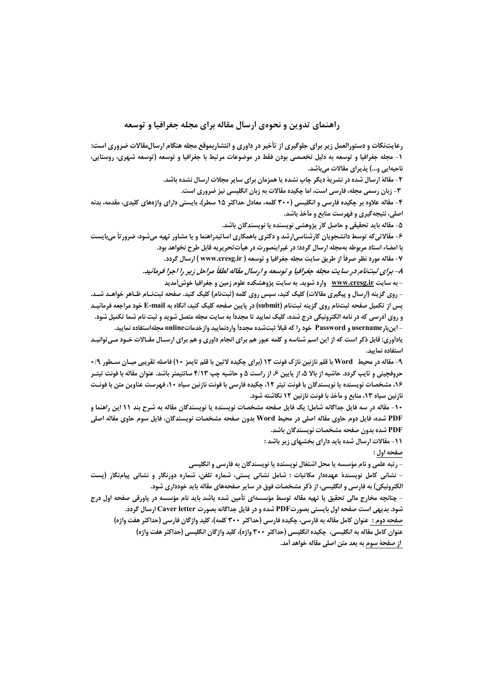## راهنمای تدوین و نحوهی ارسال مقاله برای مجله چغرافیا و توسعه

رعایتنکات و دستورالعمل زیر برای جلوگیری از تأخیر در داوری و انتشاربموقع مجله هنگام ارسال.هقالات ضروری است: ۱- مجله جغرافیا و توسعه به دلیل تخصصی بودن فقط در موضوعات مرتبط با جغرافیا و توسعه (توسعه شهری، روستایی، ناحیهایی و...) پذیرای مقالات میباشد.

۲- مقالهٔ ارسال شده در نشریهٔ دیگر چاپ نشده یا همزمان برای سایر مجلات ارسال نشده باشد.

۳- زبان رسمی مجله، فارسی است، اما چکیده مقالات به زبان انگلیسی نیز ضروری است.

۴- مقاله علاوه بر چکیده فارسی و انگلیسی (۳۰۰ کلمه، معادل حداکثر ۱۵ سطر)، بایستی دارای واژههای کلیدی، مقدمه، بدنه اصلی، نتیجهگیری و فهرست منابع و مأخذ باشد.

۵- مقاله باید تحقیقی و حاصل کار پژوهشی نویسنده یا نویسندگان باشد.

۶- مقالاتیکه توسط دانشجویان کارشناسی|رشد و دکتری باهمکاری اساتیدراهنما و یا مشاور تهیه میشود، ضرورتأ میبایست با امضاء استاد مربوطه بهمجله ارسال گردد؛ در غیراینصورت در هیأتتحریریه قابل طرح نخواهد بود.

۷- مقاله مورد نظر صرفاً از طريق سايت مجله جغرافيا و توسعه ( www.cresg.ir ) ارسال گردد.

۸– برای ثبتنام در سایت مجله جغرافیا و توسعه و ارسال مقاله لطفاً مراحل زیر را اجرا فرمائید.

– به سایت <u>www.cresg.ir</u> وارد شوید. به سایت پژوهشکده علوم زمین و جغرافیا خوش[مدید

- روی گزینه (ارسال و پیگیری مقالات) کلیک کنید، سپس روی کلمه (ثبتنام) کلیک کنید. صفحه ثبتنـام ظـاهر خواهـد شــد. يس از تكميل صفحه ثبتنام روي گزينه ثبتنام (submit) در پايين صفحه كليك كنيد، أنگاه به E-mail خود مراجعه فرمائيـد و روی أدرسی که در نامه الکترونیکی درج شده، کلیک نمایید تا مجدداً به سایت مجله متصل شوید و ثبت نام شما تکمیل شود. – اينبارDassword و Password خود را كه قبلاً ثبتشده مجدداً واردنماييد وازخدماتonline مجلهاستفاده نماييد.

یادآوری: قابل ذکر است که از این اسم شناسه و کلمه عبور هم برای انجام داوری و هم برای ارسـال مقـالات خـود مـی توانیـد استفاده نمایید.

۹- مقاله در محيط Word با قلم نازنين نازك فونت ١٣ (براي چكيده لاتين با قلم تايمز ١٠) فاصله تقريبي ميـان ســطور ١٩٠ **حروفچینی و تایپ گردد. حاشیه از بالا ۵، از پایین ۶، از راست ۵ و حاشیه چپ ۴/۱۳ سانتیمتر باشد. عنوان مقاله با فونت تیتـر** ۱۶، مشخصات نویسنده یا نویسندگان با فونت تیتر ۱۲، چکیده فارسی با فونت نازنین سیاه ۱۰، فهرست عناوین متن با فونـت نازنین سیاه ۱۳، منابع و مآخذ با فونت نازنین ۱۲ نگاشته شود.

۱۰- مقاله در سه فایل جداگانه شامل؛ یک فایل صفحه مشخصات نویسنده یا نویسندگان مقاله به شرح بند ۱۱ این راهنما و PDF شده، فایل دوم حاوی مقاله اصلی در محیط Word بدون صفحه مشخصات نویسندگان، فایل سوم حاوی مقاله اصلی PDF شده بدون صفحه مشخصات نویسندگان باشد.

11- مقالات ارسال شده باید دارای بخشهای زیر باشد :

صفحه اول :

- رتبه علمی و نام مؤسسه یا محل اشتغال نویسنده یا نویسندگان به فارسی و انگلیسی

– نشانی کامل نویسندهٔ عهدهدار مکاتبات : شامل نشانی پستی، شماره تلفن، شماره دورنگار و نشانی پیامنگار (پست الکترونیکی) به فارسی و انگلیسی، از ذکر مشخصات فوق در سایر صفحههای مقاله باید خودداری شود.

- چنانچه مخارج مالی تحقیق یا تهیه مقاله توسط مؤسسهای تأمین شده یاشد باید نام مؤسسه در پاورقی صفحه اول درج شود. بدیهی است صفحه اول بایستی بصورتPDF شده و در فایل جداگانه بصورت Caver letter ارسال گردد. صفحه دوم : عنوان كامل مقاله به فارسي، چكيده فارسي (حداكثر ٣٠٠ كلمه)، كليد واژگان فارسي (حداكثر هفت واژه) عنوان کامل مقاله به انگلیسی، چکیده انگلیسی (حداکثر ۳۰۰ واژه)، کلید واژگان انگلیسی (حداکثر هفت واژه)

از صفحهٔ سوم به بعد متن اصلی مقاله خواهد أمد.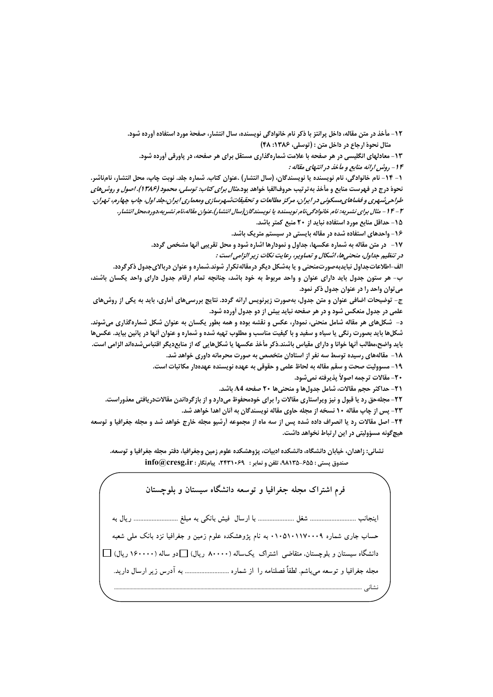12- مأخذ در متن مقاله، داخل پرانتز با ذکر نام خانوادگی نویسنده، سال انتشار، صفحهٔ مورد استفاده آورده شود. مثال نحوة ارجاع در داخل متن : (توسلي، ۱۳۸۶: ۴۸)

۱۳- معادلهای انگلیسی در هر صفحه با علامت شمارهگذاری مستقل برای هر صفحه، در پاورقی آورده شود. ۱۴ - روشن ارائه منابع و مأخذ در انتهای مقاله :

١- ١٤- نام خانوادگي، نام نويسنده يا نويسندگان، (سال انتشار) .عنوان كتاب. شماره جلد. نوبت چاپ، محل انتشار، نامناشر. نحوهٔ درج در فهرست منابع و مأخذ به ترتیب حروفالفبا خواهد بود.*مثال برای کتاب: توسلی، محمود (۱۳۸۶). اصول و روش های* طراحي شهري و فضاهاي مسكوني در ايران، مركز مطالعات و تحقيقات شهرسازي ومعماري ايران،جلد اول، چاپ چهارم، تهران. ۳ – ۱۴ – مثال برای نشیریه: نام خانوادگی،نام نویسنده یا نویسندگان(سال انتشار).عنوان مقاله،نام نشیریه،دوره،محل انتشار.

1۵ – حداقل منابع مورد استفاده نباید از ۲۰ منبع کمتر باشد.

1۶- واحدهای استفاده شده در مقاله بایستی در سیستم متریک باشد.

17- ً در متن مقاله به شماره عکسها، جداول و نمودارها اشاره شود و محل تقریبی أنها مشخص گردد.

در تنظیم جداول، منحنیها، اشکال و تصاویر، رعایت نکات زیر الزامی است :

الف-اطلاعاتجداول نبایدبهصورتمنحنی و یا بهشکل دیگر درمقاله تکرار شوند.شماره و عنوان دربالایجدول ذکرگردد. ب– هر ستون جدول باید دارای عنوان و واحد مربوط به خود باشد، چنانچه تمام ارقام جدول دارای واحد یکسان باشند، مي توان واحد را در عنوان جدول ذكر نمود.

ج- توضیحات اضافی عنوان و متن جدول، بهصورت زیرنویس ارائه گردد. نتایج بررسیهای آماری، باید به یکی از روش های علمی در جدول منعکس شود و در هر صفحه نباید بیش از دو جدول آورده شود.

د– شکلهای هر مقاله شامل منحنی، نمودار، عکس و نقشه بوده و همه بطور یکسان به عنوان شکل شمارهگذاری می شوند. شکلها باید بصورت رنگی یا سیاه و سفید و با کیفیت مناسب و مطلوب تهیه شده و شماره و عنوان أنها در پائین بیاید. عکسها بايد واضح،مطالب أنها خوانا و داراي مقياس باشند.ذكر مأخذ عكسها يا شكلهايي كه از منابع ديگر اقتباس شدهاند الزامي است.

۱۸ – مقالههای رسیده توسط سه نفر از استادان متخصص به صورت محرمانه داوری خواهد شد.

١٩- مسووليت صحت و سقم مقاله به لحاظ علمي و حقوقي به عهده نويسنده عهدهدار مكاتبات است.

20- مقالات ترجمه اصولاً پذيرفته نمي شود.

21- حداكثر حجم مقالات، شامل جدولها و منحنيها 20 صفحه 44 باشد.

۲۲- مجلهحق رد یا قبول و نیز ویراستاری مقالات را برای خودمحفوظ میدارد و از بازگرداندن مقالاتدریافتی معذوراست. ۲۳- پس از چاپ مقاله ۱۰ نسخه از مجله حاوی مقاله نویسندگان به آنان اهدا خواهد شد.

٢۴- اصل مقالات رد یا انصراف داده شده پس از سه ماه از مجموعه اَرشیو مجله خارج خواهد شد و مجله جغرافیا و توسعه هیچ گونه مسؤولیتی در این ارتباط نخواهد داشت.

نشانی: زاهدان، خیابان دانشگاه، دانشکده ادبیات، پژوهشکده علوم زمین وجغرافیا، دفتر مجله جغرافیا و توسعه. صندوق پستی : ۶۵۵-۹۸۱۳۵، تلفن و نمابر : ۲۴۳۱۰۶۹، پیامنگار : info@cresg.ir

فرم اشتراک محله جغرافیا و توسعه دانشگاه سیستان و بلوچستان حساب جاری شماره ۰۱۰۵۱۰۱۱۷۰۰۰۹ به نام یژوهشکده علوم زمین و جغرافیا نزد بانک ملی شعبه دانشگاه سیستان و بلوچستان، متقاضی اشتراک یکساله (۸۰۰۰۰ ریال) [ دو ساله (۱۶۰۰۰۰ ریال) [ ] مجله جغرافیا و توسعه میباشم. لطفاً فصلنامه را از شماره ........................... به آدرس زیر ارسال دارید. نشانے , ..........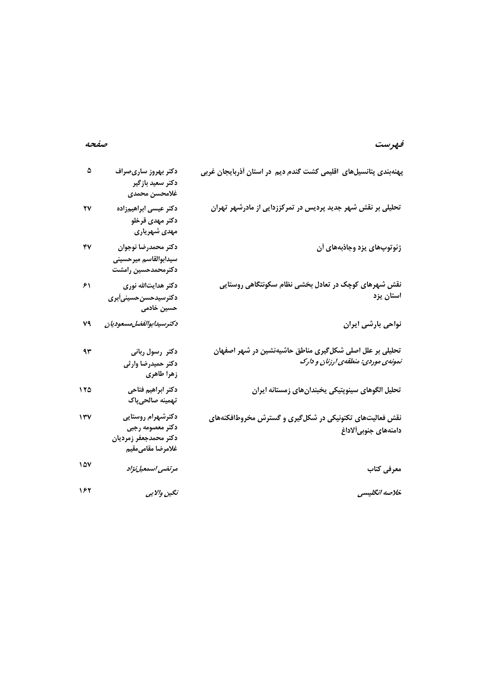# فهرست

## صفحه

| ۵   | دكتر بهروز سارىصراف<br>دكتر سعيد بازگير<br>غلامحسن محمدى                            | پهنهبندی پتانسیلهای اقلیمی کشت گندم دیم در استان آذربایجان غربی                                |
|-----|-------------------------------------------------------------------------------------|------------------------------------------------------------------------------------------------|
| ۲٧  | دکتر عیسی ابراهیمزاده<br>دكتر مهدى قرخلو<br>مهدی شهریاری                            | تحلیلی بر نقش شهر جدید پردیس در تمرکززدایی از مادرشهر تهران                                    |
| ۴٧  | دكتر محمدرضا نوجوان<br>سيدابوالقاسم ميرحسيني<br>دكترمحمدحسين رامشت                  | ژئوتوپهای یزد وجاذبههای آن                                                                     |
| ۶۱  | دکتر هدایتالله نوری<br>دكترسيدحسن حسيني أبرى<br>حسین خادمی                          | نقش شهرهای کوچک در تعادل بخشی نظام سکونتگاهی روستایی<br>استان يزد                              |
| ٧٩  | دكترسيدابوالفضل مسعوديان                                                            | نواحی بارشی ایران                                                                              |
| ۹۳  | دکتر رسول ربانی<br>دكتر حميدرضا وارثى<br>زهرا طاهرى                                 | تحلیلی بر علل اصلی شکلگیری مناطق حاشیهنشین در شهر اصفهان<br>تمونهی موردی: منطقهی ارزنان و دارک |
| ۱۲۵ | دكتر ابراهيم فتاحى<br>تهمينه صالحىپاك                                               | تحليل الگوهای سينوپتيكي يخبندانهای زمستانه ايران                                               |
| ١٣٧ | دكترشهرام روستايى<br>دكتر معصومه رجبي<br>دكتر محمدجعفر زمرديان<br>غلامرضا مقامىمقيم | نقش فعالیتهای تکتونیکی در شکل گیری و گسترش مخروطافکنههای<br>دامنههای جنوبی آلاداغ              |
| 107 | مرتضى اسمعيل نژاد                                                                   | معرفی کتاب                                                                                     |
| ۱۶۲ | نگين والايي                                                                         | خلاصه انگلیسی                                                                                  |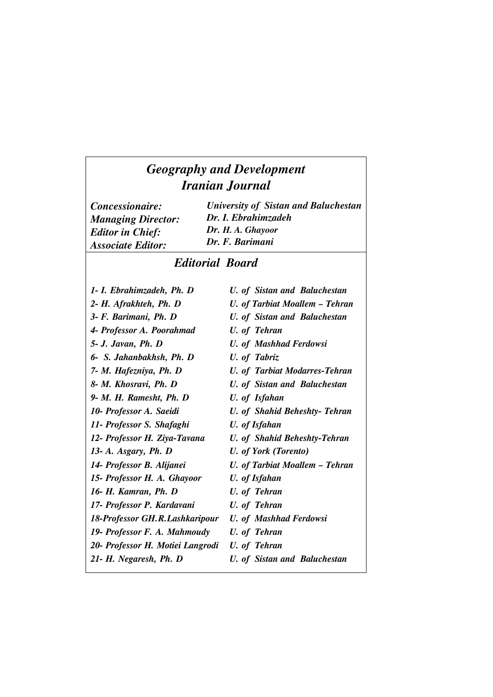## *Geography and Development Iranian Journal*

*Concessionaire: Managing Director: Editor in Chief: Associate Editor:*

*University of Sistan and Baluchestan Dr. I. Ebrahimzadeh Dr. H. A. Ghayoor Dr. F. Barimani*

## *Editorial Board*

*1- I. Ebrahimzadeh, Ph. D 2- H. Afrakhteh, Ph. D 3- F. Barimani, Ph. D 4- Professor A. Poorahmad 5- J. Javan, Ph. D 6- S. Jahanbakhsh, Ph. D 7- M. Hafezniya, Ph. D 8- M. Khosravi, Ph. D 9- M. H. Ramesht, Ph. D 10- Professor A. Saeidi 11- Professor S. Shafaghi 12- Professor H. Ziya-Tavana 13- A. Asgary, Ph. D 14- Professor B. Alijanei 15- Professor H. A. Ghayoor 16- H. Kamran, Ph. D 17- Professor P. Kardavani 18-Professor GH.R.Lashkaripour 19- Professor F. A. Mahmoudy 20- Professor H. Motiei Langrodi 21- H. Negaresh, Ph. D U. of Sistan and Baluchestan U. of Tarbiat Moallem – Tehran U. of Sistan and Baluchestan U. of Tehran U. of Mashhad Ferdowsi U. of Tabriz U. of Tarbiat Modarres-Tehran U. of Sistan and Baluchestan U. of Isfahan U. of Shahid Beheshty- Tehran U. of Isfahan U. of Shahid Beheshty-Tehran U. of York (Torento) U. of Tarbiat Moallem – Tehran U. of Isfahan U. of Tehran U. of Tehran U. of Mashhad Ferdowsi U. of Tehran U. of Tehran U. of Sistan and Baluchestan*